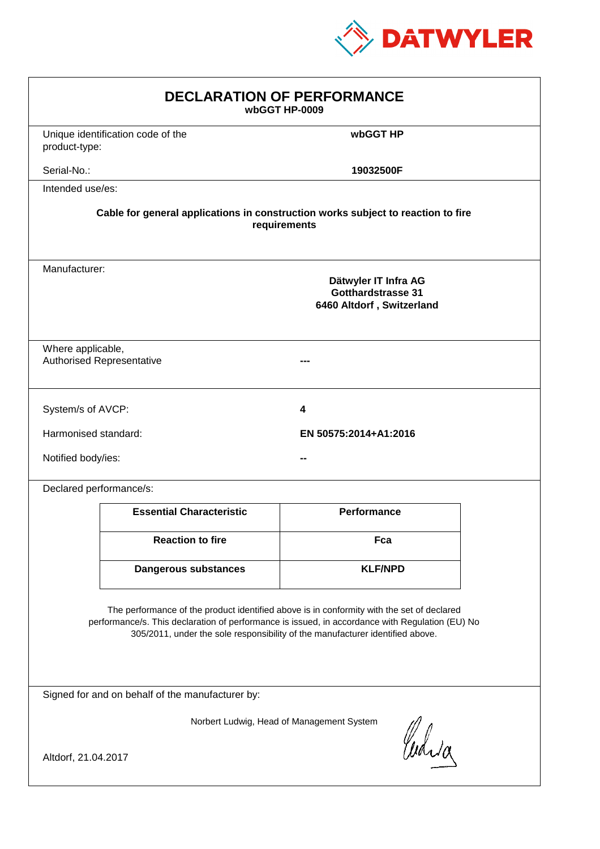

| <b>DECLARATION OF PERFORMANCE</b><br>wbGGT HP-0009                                                                                                                                                                                                                            |                                                       |                       |  |  |
|-------------------------------------------------------------------------------------------------------------------------------------------------------------------------------------------------------------------------------------------------------------------------------|-------------------------------------------------------|-----------------------|--|--|
| product-type:                                                                                                                                                                                                                                                                 | Unique identification code of the                     | wbGGT HP              |  |  |
| Serial-No.:                                                                                                                                                                                                                                                                   |                                                       | 19032500F             |  |  |
| Intended use/es:                                                                                                                                                                                                                                                              |                                                       |                       |  |  |
| Cable for general applications in construction works subject to reaction to fire<br>requirements                                                                                                                                                                              |                                                       |                       |  |  |
| Manufacturer:<br>Dätwyler IT Infra AG<br>Gotthardstrasse 31<br>6460 Altdorf, Switzerland                                                                                                                                                                                      |                                                       |                       |  |  |
|                                                                                                                                                                                                                                                                               | Where applicable,<br><b>Authorised Representative</b> |                       |  |  |
| System/s of AVCP:                                                                                                                                                                                                                                                             |                                                       | 4                     |  |  |
| Harmonised standard:                                                                                                                                                                                                                                                          |                                                       | EN 50575:2014+A1:2016 |  |  |
| Notified body/ies:                                                                                                                                                                                                                                                            |                                                       |                       |  |  |
| Declared performance/s:                                                                                                                                                                                                                                                       |                                                       |                       |  |  |
|                                                                                                                                                                                                                                                                               | <b>Essential Characteristic</b>                       | <b>Performance</b>    |  |  |
|                                                                                                                                                                                                                                                                               | <b>Reaction to fire</b>                               | Fca                   |  |  |
|                                                                                                                                                                                                                                                                               | <b>Dangerous substances</b>                           | <b>KLF/NPD</b>        |  |  |
| The performance of the product identified above is in conformity with the set of declared<br>performance/s. This declaration of performance is issued, in accordance with Regulation (EU) No<br>305/2011, under the sole responsibility of the manufacturer identified above. |                                                       |                       |  |  |
| Signed for and on behalf of the manufacturer by:                                                                                                                                                                                                                              |                                                       |                       |  |  |
| Norbert Ludwig, Head of Management System<br>Curia<br>Altdorf, 21.04.2017                                                                                                                                                                                                     |                                                       |                       |  |  |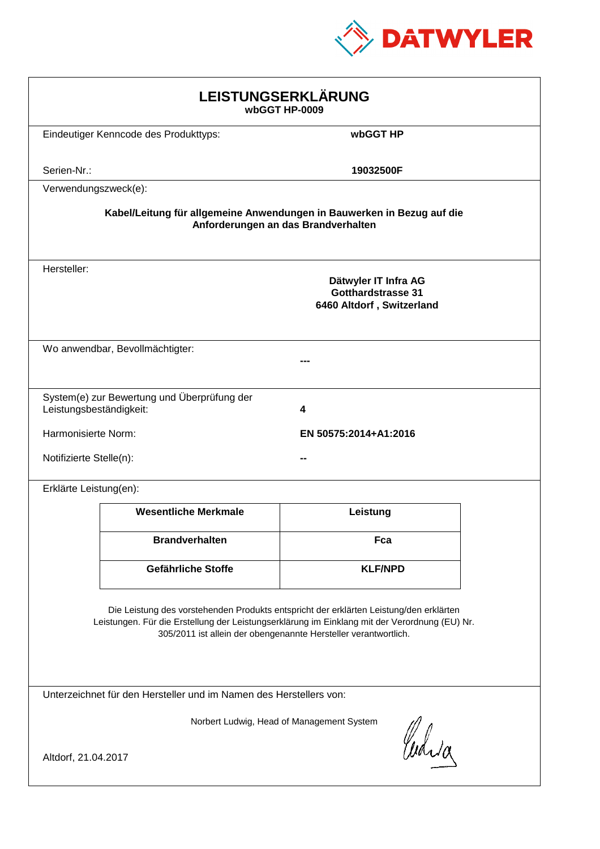

| LEISTUNGSERKLÄRUNG<br>wbGGT HP-0009                                                                                                                                                                                                                        |                                                                                |                                     |  |
|------------------------------------------------------------------------------------------------------------------------------------------------------------------------------------------------------------------------------------------------------------|--------------------------------------------------------------------------------|-------------------------------------|--|
|                                                                                                                                                                                                                                                            | Eindeutiger Kenncode des Produkttyps:                                          | wbGGT HP                            |  |
| Serien-Nr.:                                                                                                                                                                                                                                                |                                                                                | 19032500F                           |  |
| Verwendungszweck(e):                                                                                                                                                                                                                                       |                                                                                |                                     |  |
|                                                                                                                                                                                                                                                            | Kabel/Leitung für allgemeine Anwendungen in Bauwerken in Bezug auf die         | Anforderungen an das Brandverhalten |  |
| Hersteller:                                                                                                                                                                                                                                                | Dätwyler IT Infra AG<br><b>Gotthardstrasse 31</b><br>6460 Altdorf, Switzerland |                                     |  |
|                                                                                                                                                                                                                                                            | Wo anwendbar, Bevollmächtigter:                                                |                                     |  |
| Leistungsbeständigkeit:                                                                                                                                                                                                                                    | System(e) zur Bewertung und Überprüfung der                                    | 4                                   |  |
|                                                                                                                                                                                                                                                            | Harmonisierte Norm:<br>EN 50575:2014+A1:2016                                   |                                     |  |
|                                                                                                                                                                                                                                                            | Notifizierte Stelle(n):                                                        |                                     |  |
| Erklärte Leistung(en):                                                                                                                                                                                                                                     |                                                                                |                                     |  |
|                                                                                                                                                                                                                                                            | <b>Wesentliche Merkmale</b>                                                    | Leistung                            |  |
|                                                                                                                                                                                                                                                            | <b>Brandverhalten</b>                                                          | Fca                                 |  |
|                                                                                                                                                                                                                                                            | Gefährliche Stoffe                                                             | <b>KLF/NPD</b>                      |  |
| Die Leistung des vorstehenden Produkts entspricht der erklärten Leistung/den erklärten<br>Leistungen. Für die Erstellung der Leistungserklärung im Einklang mit der Verordnung (EU) Nr.<br>305/2011 ist allein der obengenannte Hersteller verantwortlich. |                                                                                |                                     |  |
| Unterzeichnet für den Hersteller und im Namen des Herstellers von:                                                                                                                                                                                         |                                                                                |                                     |  |
| Norbert Ludwig, Head of Management System<br>Curia                                                                                                                                                                                                         |                                                                                |                                     |  |
| Altdorf, 21.04.2017                                                                                                                                                                                                                                        |                                                                                |                                     |  |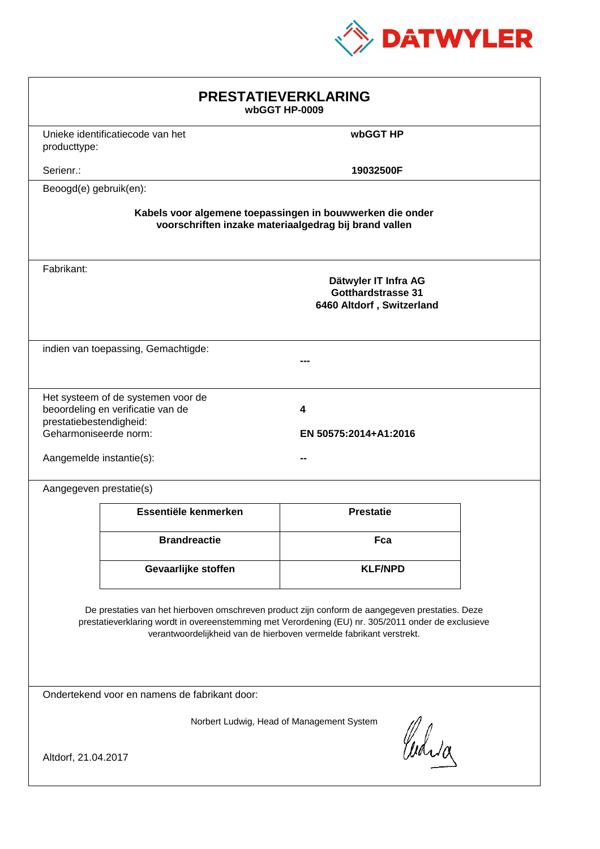

| <b>PRESTATIEVERKLARING</b><br>wbGGT HP-0009                                                                                                                                                                                                                                 |                                                                         |                                                                                |  |  |
|-----------------------------------------------------------------------------------------------------------------------------------------------------------------------------------------------------------------------------------------------------------------------------|-------------------------------------------------------------------------|--------------------------------------------------------------------------------|--|--|
| producttype:                                                                                                                                                                                                                                                                | Unieke identificatiecode van het                                        | wbGGT HP                                                                       |  |  |
| Serienr.:                                                                                                                                                                                                                                                                   |                                                                         | 19032500F                                                                      |  |  |
| Beoogd(e) gebruik(en):                                                                                                                                                                                                                                                      |                                                                         |                                                                                |  |  |
| Kabels voor algemene toepassingen in bouwwerken die onder<br>voorschriften inzake materiaalgedrag bij brand vallen                                                                                                                                                          |                                                                         |                                                                                |  |  |
| Fabrikant:                                                                                                                                                                                                                                                                  |                                                                         | Dätwyler IT Infra AG<br><b>Gotthardstrasse 31</b><br>6460 Altdorf, Switzerland |  |  |
|                                                                                                                                                                                                                                                                             | indien van toepassing, Gemachtigde:                                     |                                                                                |  |  |
| prestatiebestendigheid:<br>Geharmoniseerde norm:<br>Aangemelde instantie(s):                                                                                                                                                                                                | Het systeem of de systemen voor de<br>beoordeling en verificatie van de | 4<br>EN 50575:2014+A1:2016                                                     |  |  |
| Aangegeven prestatie(s)                                                                                                                                                                                                                                                     |                                                                         |                                                                                |  |  |
|                                                                                                                                                                                                                                                                             | Essentiële kenmerken                                                    | <b>Prestatie</b>                                                               |  |  |
|                                                                                                                                                                                                                                                                             | <b>Brandreactie</b>                                                     | Fca                                                                            |  |  |
|                                                                                                                                                                                                                                                                             | Gevaarlijke stoffen                                                     | <b>KLF/NPD</b>                                                                 |  |  |
| De prestaties van het hierboven omschreven product zijn conform de aangegeven prestaties. Deze<br>prestatieverklaring wordt in overeenstemming met Verordening (EU) nr. 305/2011 onder de exclusieve<br>verantwoordelijkheid van de hierboven vermelde fabrikant verstrekt. |                                                                         |                                                                                |  |  |
| Ondertekend voor en namens de fabrikant door:                                                                                                                                                                                                                               |                                                                         |                                                                                |  |  |
| Norbert Ludwig, Head of Management System<br>Curia<br>Altdorf, 21.04.2017                                                                                                                                                                                                   |                                                                         |                                                                                |  |  |
|                                                                                                                                                                                                                                                                             |                                                                         |                                                                                |  |  |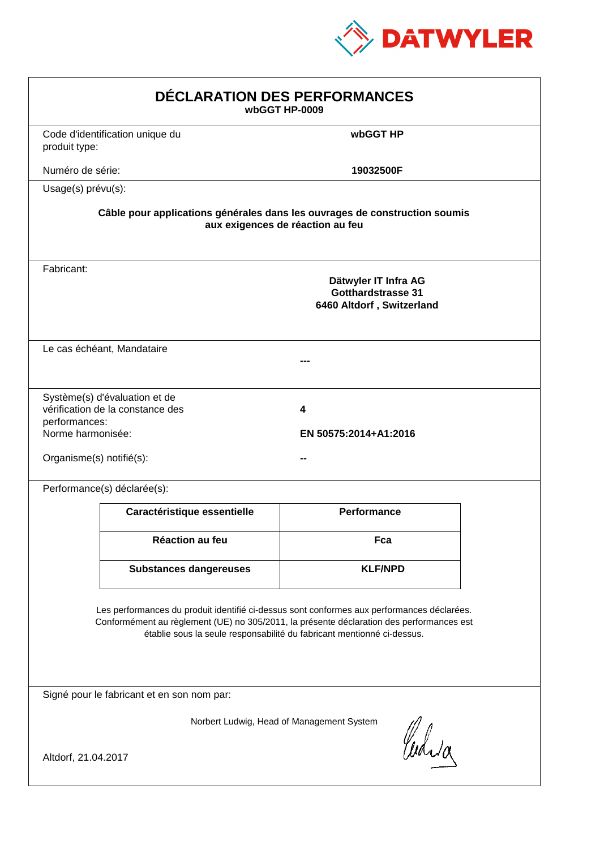

| DÉCLARATION DES PERFORMANCES<br>wbGGT HP-0009                                                                                                                                                                                                                    |                                                                                                                |                                                                                |  |  |
|------------------------------------------------------------------------------------------------------------------------------------------------------------------------------------------------------------------------------------------------------------------|----------------------------------------------------------------------------------------------------------------|--------------------------------------------------------------------------------|--|--|
| produit type:                                                                                                                                                                                                                                                    | Code d'identification unique du                                                                                | wbGGT HP                                                                       |  |  |
| Numéro de série:                                                                                                                                                                                                                                                 |                                                                                                                | 19032500F                                                                      |  |  |
| Usage(s) prévu(s):                                                                                                                                                                                                                                               |                                                                                                                |                                                                                |  |  |
|                                                                                                                                                                                                                                                                  | Câble pour applications générales dans les ouvrages de construction soumis<br>aux exigences de réaction au feu |                                                                                |  |  |
| Fabricant:                                                                                                                                                                                                                                                       |                                                                                                                | Dätwyler IT Infra AG<br><b>Gotthardstrasse 31</b><br>6460 Altdorf, Switzerland |  |  |
|                                                                                                                                                                                                                                                                  | Le cas échéant, Mandataire                                                                                     |                                                                                |  |  |
| performances:<br>Norme harmonisée:<br>Organisme(s) notifié(s):                                                                                                                                                                                                   | Système(s) d'évaluation et de<br>vérification de la constance des                                              | 4<br>EN 50575:2014+A1:2016                                                     |  |  |
|                                                                                                                                                                                                                                                                  | Performance(s) déclarée(s):                                                                                    |                                                                                |  |  |
|                                                                                                                                                                                                                                                                  | Caractéristique essentielle                                                                                    | Performance                                                                    |  |  |
|                                                                                                                                                                                                                                                                  | Réaction au feu                                                                                                | Fca                                                                            |  |  |
|                                                                                                                                                                                                                                                                  | <b>Substances dangereuses</b>                                                                                  | <b>KLF/NPD</b>                                                                 |  |  |
| Les performances du produit identifié ci-dessus sont conformes aux performances déclarées.<br>Conformément au règlement (UE) no 305/2011, la présente déclaration des performances est<br>établie sous la seule responsabilité du fabricant mentionné ci-dessus. |                                                                                                                |                                                                                |  |  |
|                                                                                                                                                                                                                                                                  | Signé pour le fabricant et en son nom par:                                                                     |                                                                                |  |  |
| Norbert Ludwig, Head of Management System<br>Curia<br>Altdorf, 21.04.2017                                                                                                                                                                                        |                                                                                                                |                                                                                |  |  |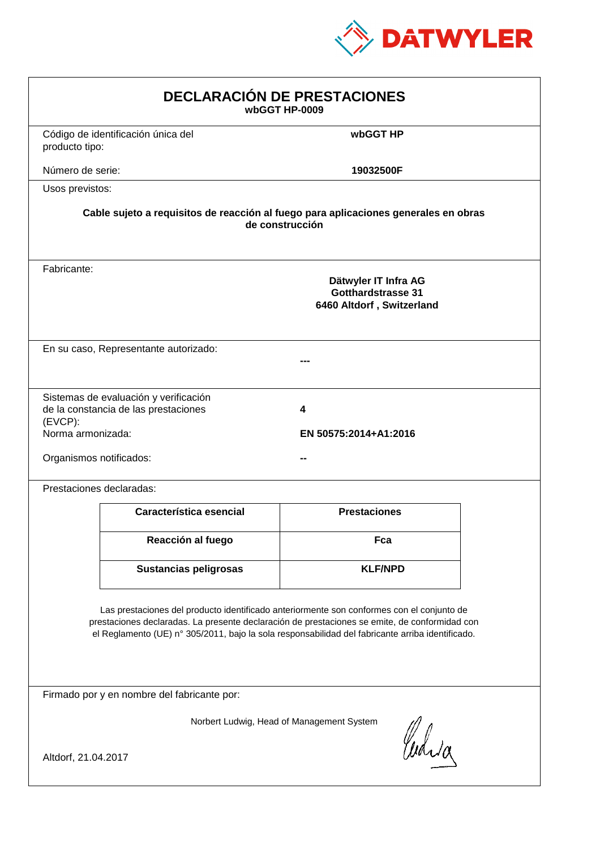

| <b>DECLARACIÓN DE PRESTACIONES</b><br>wbGGT HP-0009                                                                                                                                                                                                                                            |                                                                                |                     |  |  |
|------------------------------------------------------------------------------------------------------------------------------------------------------------------------------------------------------------------------------------------------------------------------------------------------|--------------------------------------------------------------------------------|---------------------|--|--|
| producto tipo:                                                                                                                                                                                                                                                                                 | Código de identificación única del                                             | wbGGT HP            |  |  |
| Número de serie:                                                                                                                                                                                                                                                                               |                                                                                | 19032500F           |  |  |
| Usos previstos:                                                                                                                                                                                                                                                                                |                                                                                |                     |  |  |
| Cable sujeto a requisitos de reacción al fuego para aplicaciones generales en obras<br>de construcción                                                                                                                                                                                         |                                                                                |                     |  |  |
| Fabricante:                                                                                                                                                                                                                                                                                    | Dätwyler IT Infra AG<br><b>Gotthardstrasse 31</b><br>6460 Altdorf, Switzerland |                     |  |  |
|                                                                                                                                                                                                                                                                                                | En su caso, Representante autorizado:                                          |                     |  |  |
| Sistemas de evaluación y verificación<br>de la constancia de las prestaciones<br>4<br>$(EVCP)$ :<br>Norma armonizada:<br>EN 50575:2014+A1:2016<br>Organismos notificados:                                                                                                                      |                                                                                |                     |  |  |
| Prestaciones declaradas:                                                                                                                                                                                                                                                                       |                                                                                |                     |  |  |
|                                                                                                                                                                                                                                                                                                | Característica esencial                                                        | <b>Prestaciones</b> |  |  |
|                                                                                                                                                                                                                                                                                                | Reacción al fuego                                                              | Fca                 |  |  |
|                                                                                                                                                                                                                                                                                                | Sustancias peligrosas                                                          | <b>KLF/NPD</b>      |  |  |
| Las prestaciones del producto identificado anteriormente son conformes con el conjunto de<br>prestaciones declaradas. La presente declaración de prestaciones se emite, de conformidad con<br>el Reglamento (UE) nº 305/2011, bajo la sola responsabilidad del fabricante arriba identificado. |                                                                                |                     |  |  |
| Firmado por y en nombre del fabricante por:                                                                                                                                                                                                                                                    |                                                                                |                     |  |  |
| Norbert Ludwig, Head of Management System<br>Curia<br>Altdorf, 21.04.2017                                                                                                                                                                                                                      |                                                                                |                     |  |  |
|                                                                                                                                                                                                                                                                                                |                                                                                |                     |  |  |